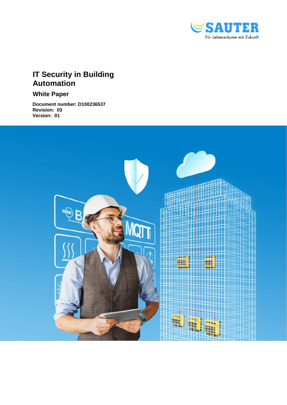

# **IT Security in Building Automation**

**White Paper**

**Document number: D100236537 Revision: 03 Version: 01**

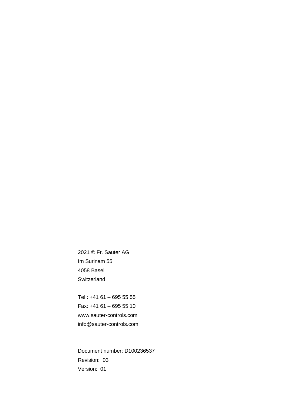2021 © Fr. Sauter AG Im Surinam 55 4058 Basel **Switzerland** 

Tel.: +41 61 – 695 55 55 Fax: +41 61 – 695 55 10 www.sauter-controls.com info@sauter-controls.com

Document number: D100236537 Revision: 03 Version: 01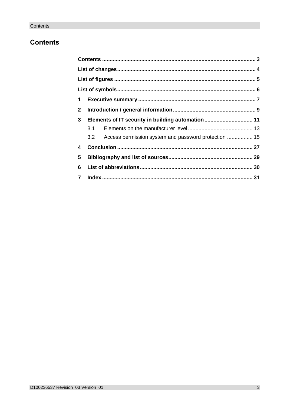# <span id="page-2-0"></span>**Contents**

| 3.1 |                                                                                                               |
|-----|---------------------------------------------------------------------------------------------------------------|
|     |                                                                                                               |
|     |                                                                                                               |
|     |                                                                                                               |
|     |                                                                                                               |
|     |                                                                                                               |
|     | Elements of IT security in building automation 11<br>3.2 Access permission system and password protection  15 |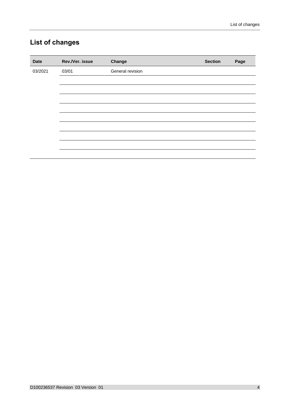# <span id="page-3-0"></span>**List of changes**

| <b>Date</b> | Rev./Ver. issue | Change           | <b>Section</b> | Page |
|-------------|-----------------|------------------|----------------|------|
| 03/2021     | 03/01           | General revision |                |      |
|             |                 |                  |                |      |
|             |                 |                  |                |      |
|             |                 |                  |                |      |
|             |                 |                  |                |      |
|             |                 |                  |                |      |
|             |                 |                  |                |      |
|             |                 |                  |                |      |
|             |                 |                  |                |      |
|             |                 |                  |                |      |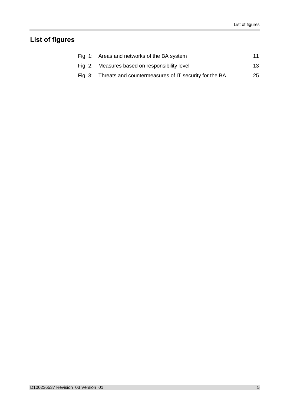# <span id="page-4-0"></span>**List of figures**

| Fig. 1: Areas and networks of the BA system                   | 11 |
|---------------------------------------------------------------|----|
| Fig. 2: Measures based on responsibility level                | 13 |
| Fig. 3: Threats and countermeasures of IT security for the BA | 25 |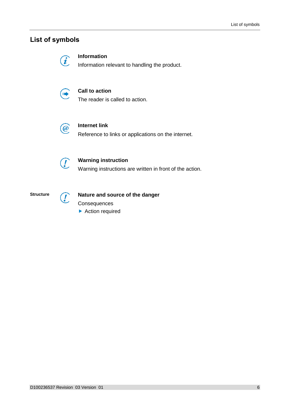# <span id="page-5-0"></span>**List of symbols**

**Information**

Information relevant to handling the product.



 $\widehat{\bm{i}}$ 

# **Call to action**

The reader is called to action.



# **Internet link**

Reference to links or applications on the internet.



 $\int$ 

# **Warning instruction**

Warning instructions are written in front of the action.



# **Nature and source of the danger**

**Consequences** 

▶ Action required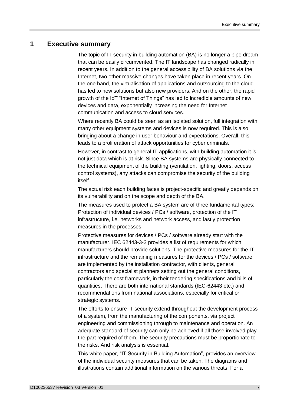# <span id="page-6-0"></span>**1 Executive summary**

The topic of IT security in building automation (BA) is no longer a pipe dream that can be easily circumvented. The IT landscape has changed radically in recent years. In addition to the general accessibility of BA solutions via the Internet, two other massive changes have taken place in recent years. On the one hand, the virtualisation of applications and outsourcing to the cloud has led to new solutions but also new providers. And on the other, the rapid growth of the IoT "Internet of Things" has led to incredible amounts of new devices and data, exponentially increasing the need for Internet communication and access to cloud services.

Where recently BA could be seen as an isolated solution, full integration with many other equipment systems and devices is now required. This is also bringing about a change in user behaviour and expectations. Overall, this leads to a proliferation of attack opportunities for cyber criminals.

However, in contrast to general IT applications, with building automation it is not just data which is at risk. Since BA systems are physically connected to the technical equipment of the building (ventilation, lighting, doors, access control systems), any attacks can compromise the security of the building itself.

The actual risk each building faces is project-specific and greatly depends on its vulnerability and on the scope and depth of the BA.

The measures used to protect a BA system are of three fundamental types: Protection of individual devices / PCs / software, protection of the IT infrastructure, i.e. networks and network access, and lastly protection measures in the processes.

Protective measures for devices / PCs / software already start with the manufacturer. IEC 62443-3-3 provides a list of requirements for which manufacturers should provide solutions. The protective measures for the IT infrastructure and the remaining measures for the devices / PCs / software are implemented by the installation contractor, with clients, general contractors and specialist planners setting out the general conditions, particularly the cost framework, in their tendering specifications and bills of quantities. There are both international standards (IEC-62443 etc.) and recommendations from national associations, especially for critical or strategic systems.

The efforts to ensure IT security extend throughout the development process of a system, from the manufacturing of the components, via project engineering and commissioning through to maintenance and operation. An adequate standard of security can only be achieved if all those involved play the part required of them. The security precautions must be proportionate to the risks. And risk analysis is essential.

This white paper, "IT Security in Building Automation", provides an overview of the individual security measures that can be taken. The diagrams and illustrations contain additional information on the various threats. For a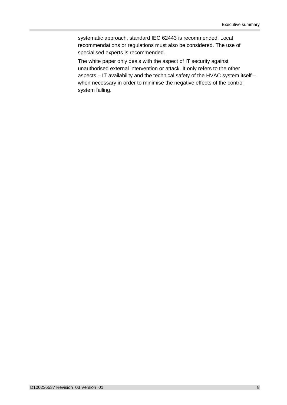systematic approach, standard IEC 62443 is recommended. Local recommendations or regulations must also be considered. The use of specialised experts is recommended.

The white paper only deals with the aspect of IT security against unauthorised external intervention or attack. It only refers to the other aspects – IT availability and the technical safety of the HVAC system itself – when necessary in order to minimise the negative effects of the control system failing.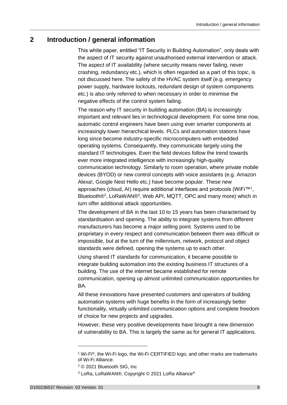# <span id="page-8-0"></span>**2 Introduction / general information**

This white paper, entitled "IT Security in Building Automation", only deals with the aspect of IT security against unauthorised external intervention or attack. The aspect of IT availability (where security means never failing, never crashing, redundancy etc.), which is often regarded as a part of this topic, is not discussed here. The safety of the HVAC system itself (e.g. emergency power supply, hardware lockouts, redundant design of system components etc.) is also only referred to when necessary in order to minimise the negative effects of the control system failing.

The reason why IT security in building automation (BA) is increasingly important and relevant lies in technological development. For some time now, automatic control engineers have been using ever smarter components at increasingly lower hierarchical levels. PLCs and automation stations have long since become industry-specific microcomputers with embedded operating systems. Consequently, they communicate largely using the standard IT technologies. Even the field devices follow the trend towards ever more integrated intelligence with increasingly high-quality communication technology. Similarly to room operation, where private mobile devices (BYOD) or new control concepts with voice assistants (e.g. Amazon Alexa!, Google Nest Hello etc.) have become popular. These new approaches (cloud, AI) require additional interfaces and protocols (WiFi™<sup>1</sup>, Bluetooth®<sup>2</sup>, LoRaWAN®<sup>3</sup>, Web API, MQTT, OPC and many more) which in turn offer additional attack opportunities.

The development of BA in the last 10 to 15 years has been characterised by standardisation and opening. The ability to integrate systems from different manufacturers has become a major selling point. Systems used to be proprietary in every respect and communication between them was difficult or impossible, but at the turn of the millennium, network, protocol and object standards were defined, opening the systems up to each other.

Using shared IT standards for communication, it became possible to integrate building automation into the existing business IT structures of a building. The use of the internet became established for remote communication, opening up almost unlimited communication opportunities for BA.

All these innovations have presented customers and operators of building automation systems with huge benefits in the form of increasingly better functionality, virtually unlimited communication options and complete freedom of choice for new projects and upgrades.

However, these very positive developments have brought a new dimension of vulnerability to BA. This is largely the same as for general IT applications.

1

<sup>1</sup> Wi-Fi®, the Wi-Fi logo, the Wi-Fi CERTIFIED logo, and [other marks](https://www.wi-fi.org/who-we-are/our-brands) are trademarks of Wi-Fi Alliance.

<sup>2</sup> © 2021 Bluetooth SIG, Inc

<sup>3</sup> LoRa, LoRaWAN®, Copyright © 2021 LoRa Alliance®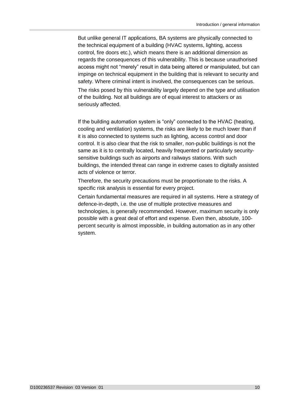But unlike general IT applications, BA systems are physically connected to the technical equipment of a building (HVAC systems, lighting, access control, fire doors etc.), which means there is an additional dimension as regards the consequences of this vulnerability. This is because unauthorised access might not "merely" result in data being altered or manipulated, but can impinge on technical equipment in the building that is relevant to security and safety. Where criminal intent is involved, the consequences can be serious.

The risks posed by this vulnerability largely depend on the type and utilisation of the building. Not all buildings are of equal interest to attackers or as seriously affected.

If the building automation system is "only" connected to the HVAC (heating, cooling and ventilation) systems, the risks are likely to be much lower than if it is also connected to systems such as lighting, access control and door control. It is also clear that the risk to smaller, non-public buildings is not the same as it is to centrally located, heavily frequented or particularly securitysensitive buildings such as airports and railways stations. With such buildings, the intended threat can range in extreme cases to digitally assisted acts of violence or terror.

Therefore, the security precautions must be proportionate to the risks. A specific risk analysis is essential for every project.

Certain fundamental measures are required in all systems. Here a strategy of defence-in-depth, i.e. the use of multiple protective measures and technologies, is generally recommended. However, maximum security is only possible with a great deal of effort and expense. Even then, absolute, 100 percent security is almost impossible, in building automation as in any other system.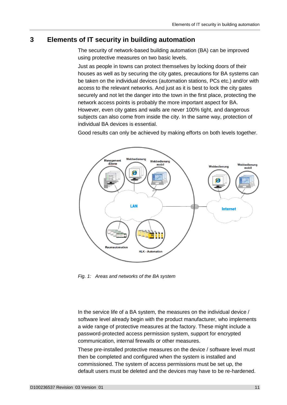# <span id="page-10-0"></span>**3 Elements of IT security in building automation**

The security of network-based building automation (BA) can be improved using protective measures on two basic levels.

Just as people in towns can protect themselves by locking doors of their houses as well as by securing the city gates, precautions for BA systems can be taken on the individual devices (automation stations, PCs etc.) and/or with access to the relevant networks. And just as it is best to lock the city gates securely and not let the danger into the town in the first place, protecting the network access points is probably the more important aspect for BA. However, even city gates and walls are never 100% tight, and dangerous subjects can also come from inside the city. In the same way, protection of individual BA devices is essential.

Good results can only be achieved by making efforts on both levels together.



<span id="page-10-1"></span>*Fig. 1: Areas and networks of the BA system*

In the service life of a BA system, the measures on the individual device / software level already begin with the product manufacturer, who implements a wide range of protective measures at the factory. These might include a password-protected access permission system, support for encrypted communication, internal firewalls or other measures.

These pre-installed protective measures on the device / software level must then be completed and configured when the system is installed and commissioned. The system of access permissions must be set up, the default users must be deleted and the devices may have to be re-hardened.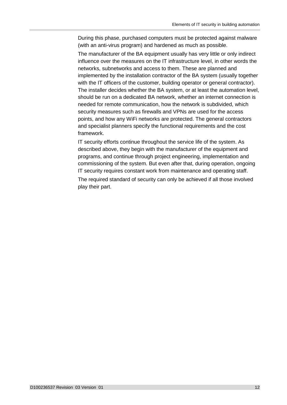During this phase, purchased computers must be protected against malware (with an anti-virus program) and hardened as much as possible.

The manufacturer of the BA equipment usually has very little or only indirect influence over the measures on the IT infrastructure level, in other words the networks, subnetworks and access to them. These are planned and implemented by the installation contractor of the BA system (usually together with the IT officers of the customer, building operator or general contractor). The installer decides whether the BA system, or at least the automation level, should be run on a dedicated BA network, whether an internet connection is needed for remote communication, how the network is subdivided, which security measures such as firewalls and VPNs are used for the access points, and how any WiFi networks are protected. The general contractors and specialist planners specify the functional requirements and the cost framework.

IT security efforts continue throughout the service life of the system. As described above, they begin with the manufacturer of the equipment and programs, and continue through project engineering, implementation and commissioning of the system. But even after that, during operation, ongoing IT security requires constant work from maintenance and operating staff.

The required standard of security can only be achieved if all those involved play their part.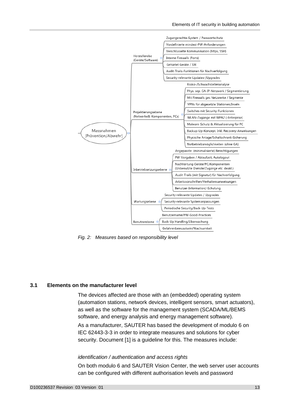

<span id="page-12-1"></span>*Fig. 2: Measures based on responsibility level*

# <span id="page-12-0"></span>**3.1 Elements on the manufacturer level**

The devices affected are those with an (embedded) operating system (automation stations, network devices, intelligent sensors, smart actuators), as well as the software for the management system (SCADA/ML/BEMS software, and energy analysis and energy management software).

As a manufacturer, SAUTER has based the development of modulo 6 on IEC 62443-3-3 in order to integrate measures and solutions for cyber security. Document [1] is a guideline for this. The measures include:

## *identification / authentication and access rights*

On both modulo 6 and SAUTER Vision Center, the web server user accounts can be configured with different authorisation levels and password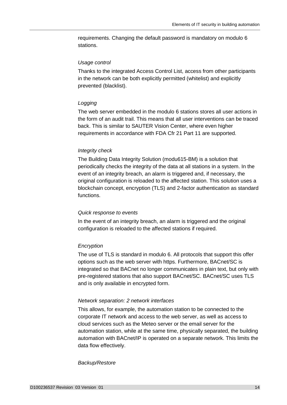requirements. Changing the default password is mandatory on modulo 6 stations.

### *Usage control*

Thanks to the integrated Access Control List, access from other participants in the network can be both explicitly permitted (whitelist) and explicitly prevented (blacklist).

# *Logging*

The web server embedded in the modulo 6 stations stores all user actions in the form of an audit trail. This means that all user interventions can be traced back. This is similar to SAUTER Vision Center, where even higher requirements in accordance with FDA Cfr 21 Part 11 are supported.

# *Integrity check*

The Building Data Integrity Solution (modu615-BM) is a solution that periodically checks the integrity of the data at all stations in a system. In the event of an integrity breach, an alarm is triggered and, if necessary, the original configuration is reloaded to the affected station. This solution uses a blockchain concept, encryption (TLS) and 2-factor authentication as standard functions.

#### *Quick response to events*

In the event of an integrity breach, an alarm is triggered and the original configuration is reloaded to the affected stations if required.

# *Encryption*

The use of TLS is standard in modulo 6. All protocols that support this offer options such as the web server with https. Furthermore, BACnet/SC is integrated so that BACnet no longer communicates in plain text, but only with pre-registered stations that also support BACnet/SC. BACnet/SC uses TLS and is only available in encrypted form.

## *Network separation: 2 network interfaces*

This allows, for example, the automation station to be connected to the corporate IT network and access to the web server, as well as access to cloud services such as the Meteo server or the email server for the automation station, while at the same time, physically separated, the building automation with BACnet/IP is operated on a separate network. This limits the data flow effectively.

#### *Backup/Restore*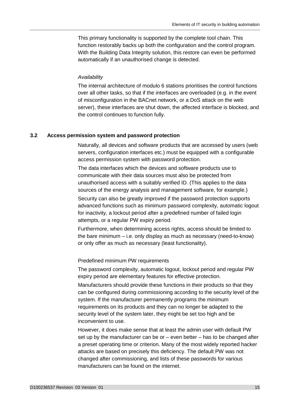This primary functionality is supported by the complete tool chain. This function restorably backs up both the configuration and the control program. With the Building Data Integrity solution, this restore can even be performed automatically if an unauthorised change is detected.

# *Availability*

The internal architecture of modulo 6 stations prioritises the control functions over all other tasks, so that if the interfaces are overloaded (e.g. in the event of misconfiguration in the BACnet network, or a DoS attack on the web server), these interfaces are shut down, the affected interface is blocked, and the control continues to function fully.

# <span id="page-14-0"></span>**3.2 Access permission system and password protection**

Naturally, all devices and software products that are accessed by users (web servers, configuration interfaces etc.) must be equipped with a configurable access permission system with password protection.

The data interfaces which the devices and software products use to communicate with their data sources must also be protected from unauthorised access with a suitably verified ID. (This applies to the data sources of the energy analysis and management software, for example.)

Security can also be greatly improved if the password protection supports advanced functions such as minimum password complexity, automatic logout for inactivity, a lockout period after a predefined number of failed login attempts, or a regular PW expiry period.

Furthermore, when determining access rights, access should be limited to the bare minimum – i.e. only display as much as necessary (need-to-know) or only offer as much as necessary (least functionality).

# Predefined minimum PW requirements

The password complexity, automatic logout, lockout period and regular PW expiry period are elementary features for effective protection.

Manufacturers should provide these functions in their products so that they can be configured during commissioning according to the security level of the system. If the manufacturer permanently programs the minimum requirements on its products and they can no longer be adapted to the security level of the system later, they might be set too high and be inconvenient to use.

However, it does make sense that at least the admin user with default PW set up by the manufacturer can be or – even better – has to be changed after a preset operating time or criterion. Many of the most widely reported hacker attacks are based on precisely this deficiency. The default PW was not changed after commissioning, and lists of these passwords for various manufacturers can be found on the internet.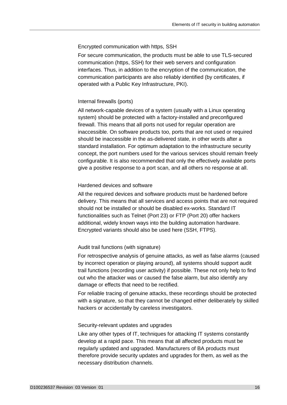# Encrypted communication with https, SSH

For secure communication, the products must be able to use TLS-secured communication (https, SSH) for their web servers and configuration interfaces. Thus, in addition to the encryption of the communication, the communication participants are also reliably identified (by certificates, if operated with a Public Key Infrastructure, PKI).

# Internal firewalls (ports)

All network-capable devices of a system (usually with a Linux operating system) should be protected with a factory-installed and preconfigured firewall. This means that all ports not used for regular operation are inaccessible. On software products too, ports that are not used or required should be inaccessible in the as-delivered state, in other words after a standard installation. For optimum adaptation to the infrastructure security concept, the port numbers used for the various services should remain freely configurable. It is also recommended that only the effectively available ports give a positive response to a port scan, and all others no response at all.

# Hardened devices and software

All the required devices and software products must be hardened before delivery. This means that all services and access points that are not required should not be installed or should be disabled ex-works. Standard IT functionalities such as Telnet (Port 23) or FTP (Port 20) offer hackers additional, widely known ways into the building automation hardware. Encrypted variants should also be used here (SSH, FTPS).

# Audit trail functions (with signature)

For retrospective analysis of genuine attacks, as well as false alarms (caused by incorrect operation or playing around), all systems should support audit trail functions (recording user activity) if possible. These not only help to find out who the attacker was or caused the false alarm, but also identify any damage or effects that need to be rectified.

For reliable tracing of genuine attacks, these recordings should be protected with a signature, so that they cannot be changed either deliberately by skilled hackers or accidentally by careless investigators.

# Security-relevant updates and upgrades

Like any other types of IT, techniques for attacking IT systems constantly develop at a rapid pace. This means that all affected products must be regularly updated and upgraded. Manufacturers of BA products must therefore provide security updates and upgrades for them, as well as the necessary distribution channels.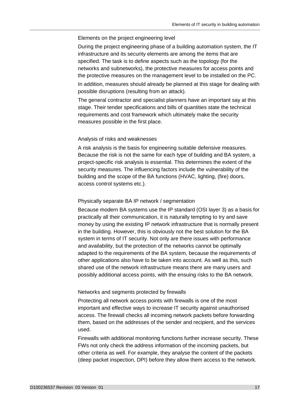### Elements on the project engineering level

During the project engineering phase of a building automation system, the IT infrastructure and its security elements are among the items that are specified. The task is to define aspects such as the topology (for the networks and subnetworks), the protective measures for access points and the protective measures on the management level to be installed on the PC.

In addition, measures should already be planned at this stage for dealing with possible disruptions (resulting from an attack).

The general contractor and specialist planners have an important say at this stage. Their tender specifications and bills of quantities state the technical requirements and cost framework which ultimately make the security measures possible in the first place.

## Analysis of risks and weaknesses

A risk analysis is the basis for engineering suitable defensive measures. Because the risk is not the same for each type of building and BA system, a project-specific risk analysis is essential. This determines the extent of the security measures. The influencing factors include the vulnerability of the building and the scope of the BA functions (HVAC, lighting, (fire) doors, access control systems etc.).

#### Physically separate BA IP network / segmentation

Because modern BA systems use the IP standard (OSI layer 3) as a basis for practically all their communication, it is naturally tempting to try and save money by using the existing IP network infrastructure that is normally present in the building. However, this is obviously not the best solution for the BA system in terms of IT security. Not only are there issues with performance and availability, but the protection of the networks cannot be optimally adapted to the requirements of the BA system, because the requirements of other applications also have to be taken into account. As well as this, such shared use of the network infrastructure means there are many users and possibly additional access points, with the ensuing risks to the BA network.

## Networks and segments protected by firewalls

Protecting all network access points with firewalls is one of the most important and effective ways to increase IT security against unauthorised access. The firewall checks all incoming network packets before forwarding them, based on the addresses of the sender and recipient, and the services used.

Firewalls with additional monitoring functions further increase security. These FWs not only check the address information of the incoming packets, but other criteria as well. For example, they analyse the content of the packets (deep packet inspection, DPI) before they allow them access to the network.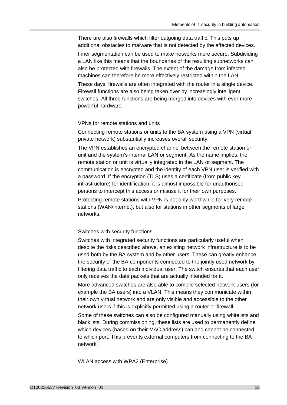There are also firewalls which filter outgoing data traffic. This puts up additional obstacles to malware that is not detected by the affected devices.

Finer segmentation can be used to make networks more secure. Subdividing a LAN like this means that the boundaries of the resulting subnetworks can also be protected with firewalls. The extent of the damage from infected machines can therefore be more effectively restricted within the LAN.

These days, firewalls are often integrated with the router in a single device. Firewall functions are also being taken over by increasingly intelligent switches. All three functions are being merged into devices with ever more powerful hardware.

## VPNs for remote stations and units

Connecting remote stations or units to the BA system using a VPN (virtual private network) substantially increases overall security.

The VPN establishes an encrypted channel between the remote station or unit and the system's internal LAN or segment. As the name implies, the remote station or unit is virtually integrated in the LAN or segment. The communication is encrypted and the identity of each VPN user is verified with a password. If the encryption (TLS) uses a certificate (from public key infrastructure) for identification, it is almost impossible for unauthorised persons to intercept this access or misuse it for their own purposes.

Protecting remote stations with VPN is not only worthwhile for very remote stations (WAN/internet), but also for stations in other segments of large networks.

#### Switches with security functions

Switches with integrated security functions are particularly useful when despite the risks described above, an existing network infrastructure is to be used both by the BA system and by other users. These can greatly enhance the security of the BA components connected to the jointly used network by filtering data traffic to each individual user. The switch ensures that each user only receives the data packets that are actually intended for it.

More advanced switches are also able to compile selected network users (for example the BA users) into a VLAN. This means they communicate within their own virtual network and are only visible and accessible to the other network users if this is explicitly permitted using a router or firewall.

Some of these switches can also be configured manually using whitelists and blacklists. During commissioning, these lists are used to permanently define which devices (based on their MAC address) can and cannot be connected to which port. This prevents external computers from connecting to the BA network.

WLAN access with WPA2 (Enterprise)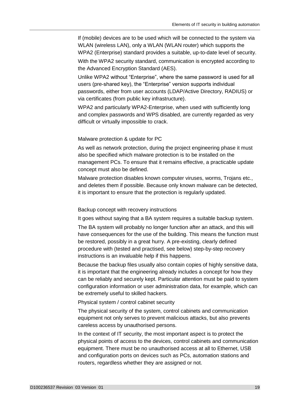If (mobile) devices are to be used which will be connected to the system via WLAN (wireless LAN), only a WLAN (WLAN router) which supports the WPA2 (Enterprise) standard provides a suitable, up-to-date level of security.

With the WPA2 security standard, communication is encrypted according to the Advanced Encryption Standard (AES).

Unlike WPA2 without "Enterprise", where the same password is used for all users (pre-shared key), the "Enterprise" version supports individual passwords, either from user accounts (LDAP/Active Directory, RADIUS) or via certificates (from public key infrastructure).

WPA2 and particularly WPA2-Enterprise, when used with sufficiently long and complex passwords and WPS disabled, are currently regarded as very difficult or virtually impossible to crack.

## Malware protection & update for PC

As well as network protection, during the project engineering phase it must also be specified which malware protection is to be installed on the management PCs. To ensure that it remains effective, a practicable update concept must also be defined.

Malware protection disables known computer viruses, worms, Trojans etc., and deletes them if possible. Because only known malware can be detected, it is important to ensure that the protection is regularly updated.

#### Backup concept with recovery instructions

It goes without saying that a BA system requires a suitable backup system.

The BA system will probably no longer function after an attack, and this will have consequences for the use of the building. This means the function must be restored, possibly in a great hurry. A pre-existing, clearly defined procedure with (tested and practised, see below) step-by-step recovery instructions is an invaluable help if this happens.

Because the backup files usually also contain copies of highly sensitive data, it is important that the engineering already includes a concept for how they can be reliably and securely kept. Particular attention must be paid to system configuration information or user administration data, for example, which can be extremely useful to skilled hackers.

Physical system / control cabinet security

The physical security of the system, control cabinets and communication equipment not only serves to prevent malicious attacks, but also prevents careless access by unauthorised persons.

In the context of IT security, the most important aspect is to protect the physical points of access to the devices, control cabinets and communication equipment. There must be no unauthorised access at all to Ethernet, USB and configuration ports on devices such as PCs, automation stations and routers, regardless whether they are assigned or not.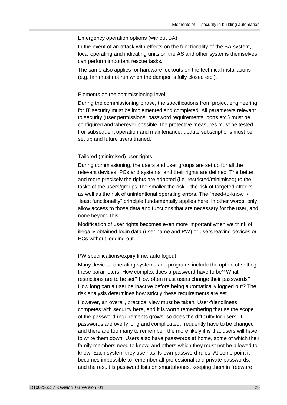### Emergency operation options (without BA)

In the event of an attack with effects on the functionality of the BA system, local operating and indicating units on the AS and other systems themselves can perform important rescue tasks.

The same also applies for hardware lockouts on the technical installations (e.g. fan must not run when the damper is fully closed etc.).

### Elements on the commissioning level

During the commissioning phase, the specifications from project engineering for IT security must be implemented and completed. All parameters relevant to security (user permissions, password requirements, ports etc.) must be configured and wherever possible, the protective measures must be tested. For subsequent operation and maintenance, update subscriptions must be set up and future users trained.

### Tailored (minimised) user rights

During commissioning, the users and user groups are set up for all the relevant devices, PCs and systems, and their rights are defined. The better and more precisely the rights are adapted (i.e. restricted/minimised) to the tasks of the users/groups, the smaller the risk – the risk of targeted attacks as well as the risk of unintentional operating errors. The "need-to-know" / "least functionality" principle fundamentally applies here: in other words, only allow access to those data and functions that are necessary for the user, and none beyond this.

Modification of user rights becomes even more important when we think of illegally obtained login data (user name and PW) or users leaving devices or PCs without logging out.

# PW specifications/expiry time, auto logout

Many devices, operating systems and programs include the option of setting these parameters. How complex does a password have to be? What restrictions are to be set? How often must users change their passwords? How long can a user be inactive before being automatically logged out? The risk analysis determines how strictly these requirements are set.

However, an overall, practical view must be taken. User-friendliness competes with security here, and it is worth remembering that as the scope of the password requirements grows, so does the difficulty for users. If passwords are overly long and complicated, frequently have to be changed and there are too many to remember, the more likely it is that users will have to write them down. Users also have passwords at home, some of which their family members need to know, and others which they must not be allowed to know. Each system they use has its own password rules. At some point it becomes impossible to remember all professional and private passwords, and the result is password lists on smartphones, keeping them in freeware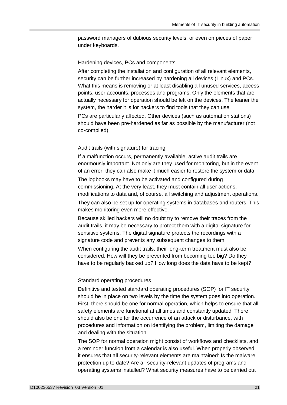password managers of dubious security levels, or even on pieces of paper under keyboards.

# Hardening devices, PCs and components

After completing the installation and configuration of all relevant elements, security can be further increased by hardening all devices (Linux) and PCs. What this means is removing or at least disabling all unused services, access points, user accounts, processes and programs. Only the elements that are actually necessary for operation should be left on the devices. The leaner the system, the harder it is for hackers to find tools that they can use.

PCs are particularly affected. Other devices (such as automation stations) should have been pre-hardened as far as possible by the manufacturer (not co-compiled).

#### Audit trails (with signature) for tracing

If a malfunction occurs, permanently available, active audit trails are enormously important. Not only are they used for monitoring, but in the event of an error, they can also make it much easier to restore the system or data.

The logbooks may have to be activated and configured during commissioning. At the very least, they must contain all user actions, modifications to data and, of course, all switching and adjustment operations.

They can also be set up for operating systems in databases and routers. This makes monitoring even more effective.

Because skilled hackers will no doubt try to remove their traces from the audit trails, it may be necessary to protect them with a digital signature for sensitive systems. The digital signature protects the recordings with a signature code and prevents any subsequent changes to them.

When configuring the audit trails, their long-term treatment must also be considered. How will they be prevented from becoming too big? Do they have to be regularly backed up? How long does the data have to be kept?

### Standard operating procedures

Definitive and tested standard operating procedures (SOP) for IT security should be in place on two levels by the time the system goes into operation. First, there should be one for normal operation, which helps to ensure that all safety elements are functional at all times and constantly updated. There should also be one for the occurrence of an attack or disturbance, with procedures and information on identifying the problem, limiting the damage and dealing with the situation.

The SOP for normal operation might consist of workflows and checklists, and a reminder function from a calendar is also useful. When properly observed, it ensures that all security-relevant elements are maintained: Is the malware protection up to date? Are all security-relevant updates of programs and operating systems installed? What security measures have to be carried out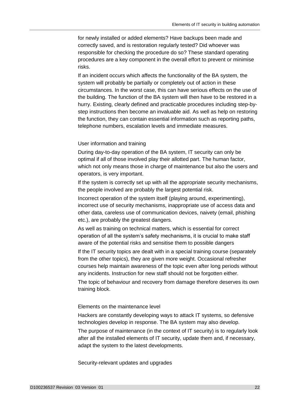for newly installed or added elements? Have backups been made and correctly saved, and is restoration regularly tested? Did whoever was responsible for checking the procedure do so? These standard operating procedures are a key component in the overall effort to prevent or minimise risks.

If an incident occurs which affects the functionality of the BA system, the system will probably be partially or completely out of action in these circumstances. In the worst case, this can have serious effects on the use of the building. The function of the BA system will then have to be restored in a hurry. Existing, clearly defined and practicable procedures including step-bystep instructions then become an invaluable aid. As well as help on restoring the function, they can contain essential information such as reporting paths, telephone numbers, escalation levels and immediate measures.

# User information and training

During day-to-day operation of the BA system, IT security can only be optimal if all of those involved play their allotted part. The human factor, which not only means those in charge of maintenance but also the users and operators, is very important.

If the system is correctly set up with all the appropriate security mechanisms, the people involved are probably the largest potential risk.

Incorrect operation of the system itself (playing around, experimenting), incorrect use of security mechanisms, inappropriate use of access data and other data, careless use of communication devices, naivety (email, phishing etc.), are probably the greatest dangers.

As well as training on technical matters, which is essential for correct operation of all the system's safety mechanisms, it is crucial to make staff aware of the potential risks and sensitise them to possible dangers

If the IT security topics are dealt with in a special training course (separately from the other topics), they are given more weight. Occasional refresher courses help maintain awareness of the topic even after long periods without any incidents. Instruction for new staff should not be forgotten either.

The topic of behaviour and recovery from damage therefore deserves its own training block.

### Elements on the maintenance level

Hackers are constantly developing ways to attack IT systems, so defensive technologies develop in response. The BA system may also develop.

The purpose of maintenance (in the context of IT security) is to regularly look after all the installed elements of IT security, update them and, if necessary, adapt the system to the latest developments.

Security-relevant updates and upgrades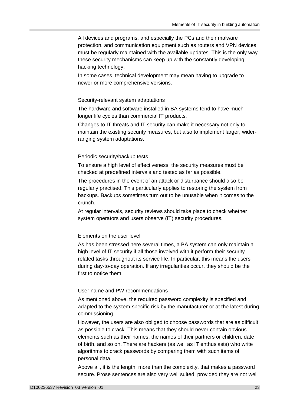All devices and programs, and especially the PCs and their malware protection, and communication equipment such as routers and VPN devices must be regularly maintained with the available updates. This is the only way these security mechanisms can keep up with the constantly developing hacking technology.

In some cases, technical development may mean having to upgrade to newer or more comprehensive versions.

## Security-relevant system adaptations

The hardware and software installed in BA systems tend to have much longer life cycles than commercial IT products.

Changes to IT threats and IT security can make it necessary not only to maintain the existing security measures, but also to implement larger, widerranging system adaptations.

### Periodic security/backup tests

To ensure a high level of effectiveness, the security measures must be checked at predefined intervals and tested as far as possible.

The procedures in the event of an attack or disturbance should also be regularly practised. This particularly applies to restoring the system from backups. Backups sometimes turn out to be unusable when it comes to the crunch.

At regular intervals, security reviews should take place to check whether system operators and users observe (IT) security procedures.

#### Elements on the user level

As has been stressed here several times, a BA system can only maintain a high level of IT security if all those involved with it perform their securityrelated tasks throughout its service life. In particular, this means the users during day-to-day operation. If any irregularities occur, they should be the first to notice them.

## User name and PW recommendations

As mentioned above, the required password complexity is specified and adapted to the system-specific risk by the manufacturer or at the latest during commissioning.

However, the users are also obliged to choose passwords that are as difficult as possible to crack. This means that they should never contain obvious elements such as their names, the names of their partners or children, date of birth, and so on. There are hackers (as well as IT enthusiasts) who write algorithms to crack passwords by comparing them with such items of personal data.

Above all, it is the length, more than the complexity, that makes a password secure. Prose sentences are also very well suited, provided they are not well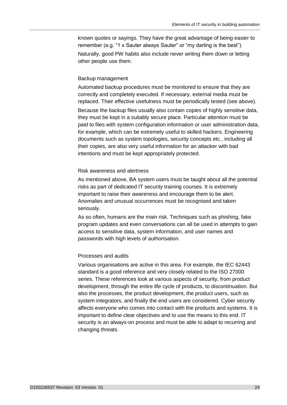known quotes or sayings. They have the great advantage of being easier to remember (e.g. "1 x Sauter always Sauter" or "my darling is the best"). Naturally, good PW habits also include never writing them down or letting other people use them.

### Backup management

Automated backup procedures must be monitored to ensure that they are correctly and completely executed. If necessary, external media must be replaced. Their effective usefulness must be periodically tested (see above). Because the backup files usually also contain copies of highly sensitive data, they must be kept in a suitably secure place. Particular attention must be paid to files with system configuration information or user administration data, for example, which can be extremely useful to skilled hackers. Engineering documents such as system topologies, security concepts etc., including all their copies, are also very useful information for an attacker with bad intentions and must be kept appropriately protected.

# Risk awareness and alertness

As mentioned above, BA system users must be taught about all the potential risks as part of dedicated IT security training courses. It is extremely important to raise their awareness and encourage them to be alert. Anomalies and unusual occurrences must be recognised and taken seriously.

As so often, humans are the main risk. Techniques such as phishing, fake program updates and even conversations can all be used in attempts to gain access to sensitive data, system information, and user names and passwords with high levels of authorisation.

# Processes and audits

Various organisations are active in this area. For example, the IEC 62443 standard is a good reference and very closely related to the ISO 27000 series. These references look at various aspects of security, from product development, through the entire life cycle of products, to discontinuation. But also the processes, the product development, the product users, such as system integrators, and finally the end users are considered. Cyber security affects everyone who comes into contact with the products and systems. It is important to define clear objectives and to use the means to this end. IT security is an always-on process and must be able to adapt to recurring and changing threats.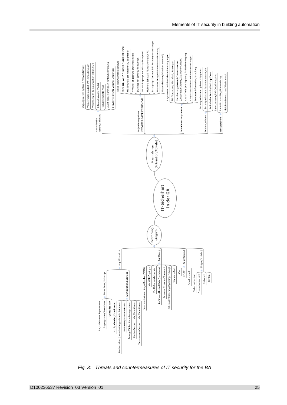

<span id="page-24-0"></span>*Fig. 3: Threats and countermeasures of IT security for the BA*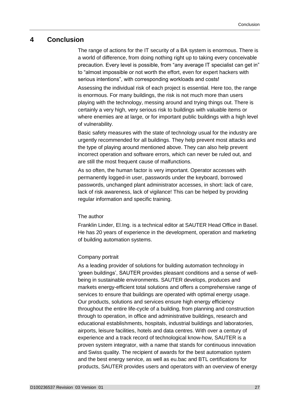# <span id="page-26-0"></span>**4 Conclusion**

The range of actions for the IT security of a BA system is enormous. There is a world of difference, from doing nothing right up to taking every conceivable precaution. Every level is possible, from "any average IT specialist can get in" to "almost impossible or not worth the effort, even for expert hackers with serious intentions", with corresponding workloads and costs!

Assessing the individual risk of each project is essential. Here too, the range is enormous. For many buildings, the risk is not much more than users playing with the technology, messing around and trying things out. There is certainly a very high, very serious risk to buildings with valuable items or where enemies are at large, or for important public buildings with a high level of vulnerability.

Basic safety measures with the state of technology usual for the industry are urgently recommended for all buildings. They help prevent most attacks and the type of playing around mentioned above. They can also help prevent incorrect operation and software errors, which can never be ruled out, and are still the most frequent cause of malfunctions.

As so often, the human factor is very important. Operator accesses with permanently logged-in user, passwords under the keyboard, borrowed passwords, unchanged plant administrator accesses, in short: lack of care, lack of risk awareness, lack of vigilance! This can be helped by providing regular information and specific training.

# The author

Franklin Linder, El.Ing. is a technical editor at SAUTER Head Office in Basel. He has 20 years of experience in the development, operation and marketing of building automation systems.

# Company portrait

As a leading provider of solutions for building automation technology in 'green buildings', SAUTER provides pleasant conditions and a sense of wellbeing in sustainable environments. SAUTER develops, produces and markets energy-efficient total solutions and offers a comprehensive range of services to ensure that buildings are operated with optimal energy usage. Our products, solutions and services ensure high energy efficiency throughout the entire life-cycle of a building, from planning and construction through to operation, in office and administrative buildings, research and educational establishments, hospitals, industrial buildings and laboratories, airports, leisure facilities, hotels and data centres. With over a century of experience and a track record of technological know-how, SAUTER is a proven system integrator, with a name that stands for continuous innovation and Swiss quality. The recipient of awards for the best automation system and the best energy service, as well as eu.bac and BTL certifications for products, SAUTER provides users and operators with an overview of energy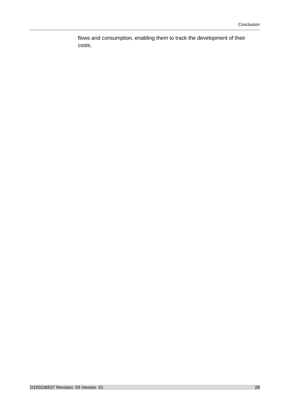flows and consumption, enabling them to track the development of their costs.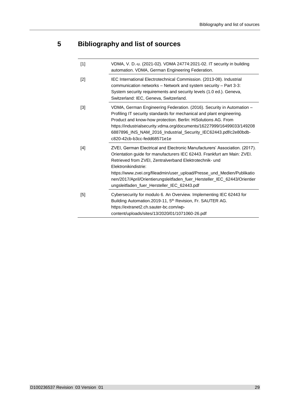# <span id="page-28-0"></span>**5 Bibliography and list of sources**

| $[1]$ | VDMA, V. D.-u. (2021-02). VDMA 24774:2021-02. IT security in building<br>automation. VDMA, German Engineering Federation.                                                                                                                                                                                                                                                                                                                       |
|-------|-------------------------------------------------------------------------------------------------------------------------------------------------------------------------------------------------------------------------------------------------------------------------------------------------------------------------------------------------------------------------------------------------------------------------------------------------|
| $[2]$ | IEC International Electrotechnical Commission. (2013-08). Industrial<br>communication networks - Network and system security - Part 3-3:<br>System security requirements and security levels (1.0 ed.). Geneva,<br>Switzerland: IEC, Geneva, Switzerland.                                                                                                                                                                                       |
| [3]   | VDMA, German Engineering Federation. (2016). Security in Automation -<br>Profiling IT security standards for mechanical and plant engineering.<br>Product and know-how protection. Berlin: HiSolutions AG. From<br>https://industrialsecurity.vdma.org/documents/16227999/16499033/149208<br>6887896_INS_NAM_2016_Industrial_Security_IEC62443.pdf/c2e80bdb-<br>c820-42cb-b3cc-fedd68571e1e                                                     |
| [4]   | ZVEI, German Electrical and Electronic Manufacturers' Association. (2017).<br>Orientation guide for manufacturers IEC 62443. Frankfurt am Main: ZVEI.<br>Retrieved from ZVEI, Zentralverband Elektrotechnik- und<br>Elektronikindistrie:<br>https://www.zvei.org/fileadmin/user_upload/Presse_und_Medien/Publikatio<br>nen/2017/April/Orientierungsleitfaden_fuer_Hersteller_IEC_62443/Orientier<br>ungsleitfaden_fuer_Hersteller_IEC_62443.pdf |
| [5]   | Cybersecurity for modulo 6. An Overview. Implementing IEC 62443 for<br>Building Automation.2019-11, 5 <sup>th</sup> Revision, Fr. SAUTER AG.<br>https://extranet2.ch.sauter-bc.com/wp-<br>content/uploads/sites/13/2020/01/1071060-26.pdf                                                                                                                                                                                                       |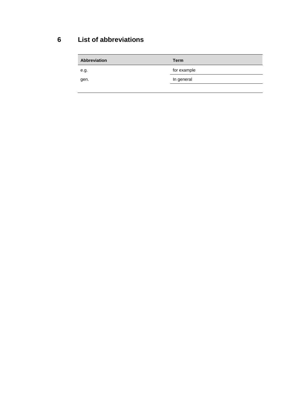# **6 List of abbreviations**

<span id="page-29-0"></span>

| <b>Abbreviation</b> | <b>Term</b> |
|---------------------|-------------|
| e.g.                | for example |
| gen.                | In general  |
|                     |             |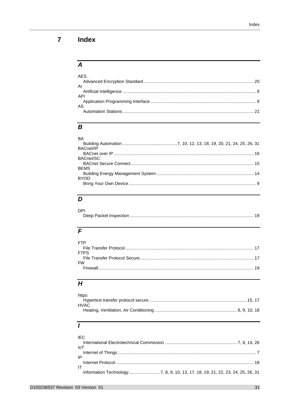#### <span id="page-30-0"></span>Index  $\overline{\mathbf{7}}$

# $\overline{A}$

| <b>AES</b> |  |
|------------|--|
|            |  |
| AI         |  |
|            |  |
| <b>API</b> |  |
|            |  |
| AS         |  |
|            |  |
|            |  |

# $\overline{B}$

| <b>BA</b><br>BACnet/IP |  |
|------------------------|--|
|                        |  |
| BACnet/SC              |  |
|                        |  |
| <b>BEMS</b>            |  |
| <b>BYOD</b>            |  |
|                        |  |

# $\overline{D}$

| <b>DPI</b> |  |
|------------|--|
|            |  |

# $\overline{F}$

| FTP         |  |
|-------------|--|
|             |  |
| <b>FTPS</b> |  |
|             |  |
| <b>FW</b>   |  |
|             |  |
|             |  |

# $\overline{H}$

| https |  |
|-------|--|
|       |  |
| HVAC  |  |
|       |  |
|       |  |

# $\overline{I}$

| <b>IEC</b> |  |
|------------|--|
| loT        |  |
|            |  |
| IP         |  |
|            |  |
| IT         |  |
|            |  |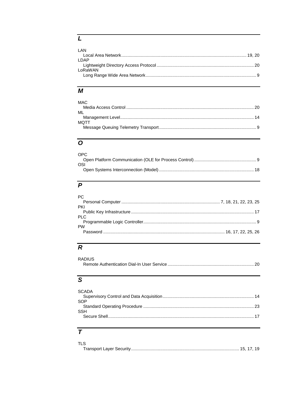# $\overline{L}$

| I AN    |  |
|---------|--|
|         |  |
| I DAP   |  |
|         |  |
| LoRaWAN |  |
|         |  |
|         |  |

# $\overline{M}$

| <b>MAC</b> |  |
|------------|--|
|            |  |
| MI         |  |
|            |  |
| MOTT       |  |
|            |  |
|            |  |

# $\overline{o}$

| OPC. |  |
|------|--|
|      |  |
| -OSI |  |
|      |  |

# $\overline{P}$

| PC.       |  |
|-----------|--|
|           |  |
| PKI       |  |
|           |  |
| -PI C     |  |
|           |  |
| <b>PW</b> |  |
|           |  |
|           |  |

# $\overline{R}$

| RADIUS |  |
|--------|--|
|        |  |

# $\overline{s}$

| <b>SCADA</b> |  |
|--------------|--|
| SOP          |  |
| <b>SSH</b>   |  |
|              |  |

# $\overline{\tau}$

| <b>TLS</b> |  |
|------------|--|
|            |  |